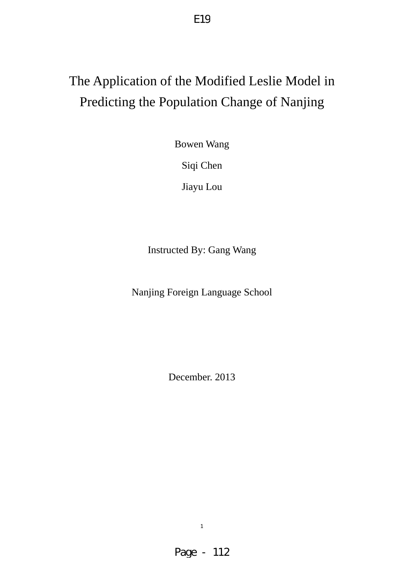# The Application of the Modified Leslie Model in Predicting the Population Change of Nanjing

E19

Bowen Wang

Siqi Chen

Jiayu Lou

Instructed By: Gang Wang

Nanjing Foreign Language School

December. 2013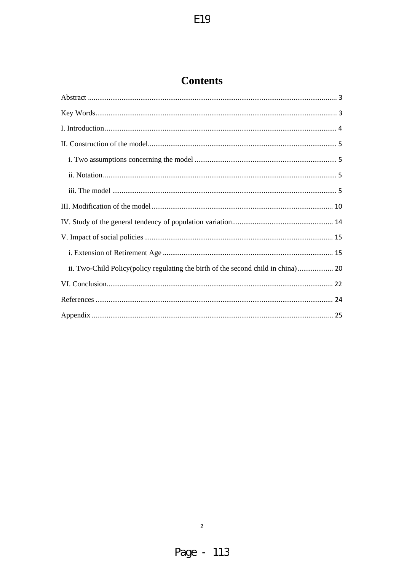## **Contents**

| ii. Two-Child Policy (policy regulating the birth of the second child in china) 20 |
|------------------------------------------------------------------------------------|
|                                                                                    |
|                                                                                    |
|                                                                                    |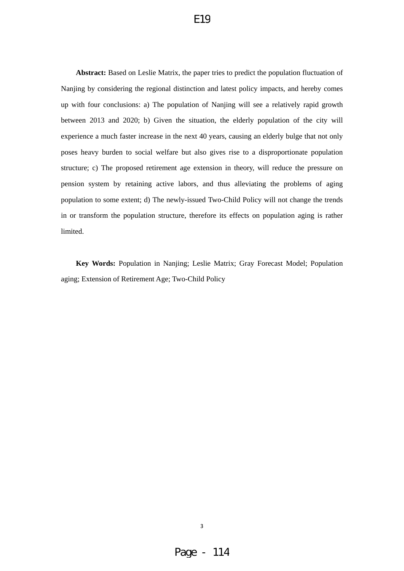<span id="page-2-0"></span>**Abstract:** Based on Leslie Matrix, the paper tries to predict the population fluctuation of Nanjing by considering the regional distinction and latest policy impacts, and hereby comes up with four conclusions: a) The population of Nanjing will see a relatively rapid growth between 2013 and 2020; b) Given the situation, the elderly population of the city will experience a much faster increase in the next 40 years, causing an elderly bulge that not only poses heavy burden to social welfare but also gives rise to a disproportionate population structure; c) The proposed retirement age extension in theory, will reduce the pressure on pension system by retaining active labors, and thus alleviating the problems of aging population to some extent; d) The newly-issued Two-Child Policy will not change the trends in or transform the population structure, therefore its effects on population aging is rather limited.

**Key Words:** Population in Nanjing; Leslie Matrix; Gray Forecast Model; Population aging; Extension of Retirement Age; Two-Child Policy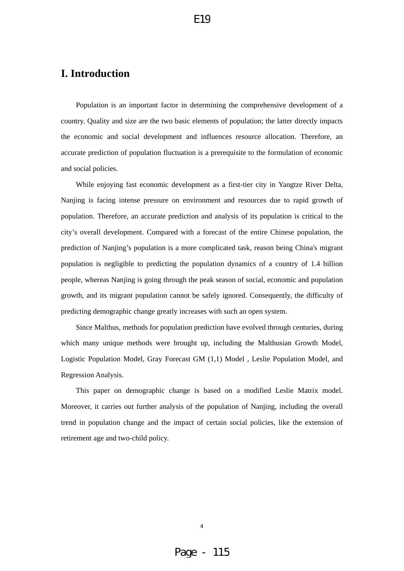## <span id="page-3-0"></span>**I. Introduction**

Population is an important factor in determining the comprehensive development of a country. Quality and size are the two basic elements of population; the latter directly impacts the economic and social development and influences resource allocation. Therefore, an accurate prediction of population fluctuation is a prerequisite to the formulation of economic and social policies.

While enjoying fast economic development as a first-tier city in Yangtze River Delta, Nanjing is facing intense pressure on environment and resources due to rapid growth of population. Therefore, an accurate prediction and analysis of its population is critical to the city's overall development. Compared with a forecast of the entire Chinese population, the prediction of Nanjing's population is a more complicated task, reason being China's migrant population is negligible to predicting the population dynamics of a country of 1.4 billion people, whereas Nanjing is going through the peak season of social, economic and population growth, and its migrant population cannot be safely ignored. Consequently, the difficulty of predicting demographic change greatly increases with such an open system.

Since Malthus, methods for population prediction have evolved through centuries, during which many unique methods were brought up, including the Malthusian Growth Model, Logistic Population Model, Gray Forecast GM (1,1) Model , Leslie Population Model, and Regression Analysis.

This paper on demographic change is based on a modified Leslie Matrix model. Moreover, it carries out further analysis of the population of Nanjing, including the overall trend in population change and the impact of certain social policies, like the extension of retirement age and two-child policy.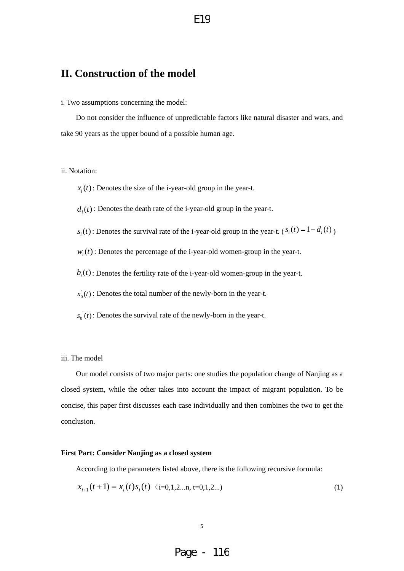## <span id="page-4-0"></span>**II. Construction of the model**

i. Two assumptions concerning the model:

Do not consider the influence of unpredictable factors like natural disaster and wars, and take 90 years as the upper bound of a possible human age.

### ii. Notation:

 $x<sub>i</sub>(t)$ : Denotes the size of the i-year-old group in the year-t.

 $d_i(t)$ : Denotes the death rate of the *i*-year-old group in the year-t.

 $s_i(t)$ : Denotes the survival rate of the i-year-old group in the year-t. ( $s_i(t) = 1 - d_i(t)$ )

 $w_i(t)$ : Denotes the percentage of the i-year-old women-group in the year-t.

- $b_i(t)$ : Denotes the fertility rate of the i-year-old women-group in the year-t.
- $x_0(t)$ : Denotes the total number of the newly-born in the year-t.
- $s_0(t)$ : Denotes the survival rate of the newly-born in the year-t.

### iii. The model

Our model consists of two major parts: one studies the population change of Nanjing as a closed system, while the other takes into account the impact of migrant population. To be concise, this paper first discusses each case individually and then combines the two to get the conclusion.

#### **First Part: Consider Nanjing as a closed system**

According to the parameters listed above, there is the following recursive formula:

$$
x_{i+1}(t+1) = x_i(t)s_i(t) \quad (i=0,1,2...n, t=0,1,2...)
$$
 (1)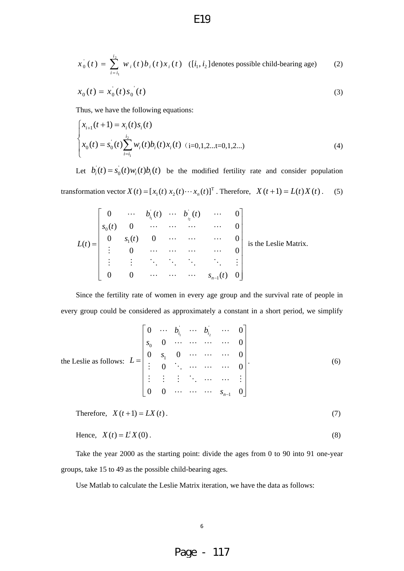$$
x_0^{\dagger}(t) = \sum_{i=i_1}^{i_2} w_i(t) b_i(t) x_i(t) \quad ([i_1, i_2] \text{ denotes possible child-bearing age}) \tag{2}
$$

$$
x_0(t) = x_0(t)s_0(t)
$$
 (3)

Thus, we have the following equations:

$$
\begin{cases}\nx_{i+1}(t+1) = x_i(t)s_i(t) \\
x_0(t) = s_0(t)\sum_{i=i_1}^{i_2} w_i(t)b_i(t)x_i(t) \quad (i=0,1,2...t=0,1,2...)\n\end{cases}
$$
\n(4)

Let  $b_i(t) = s_0(t)w_i(t)b_i(t)$  be the modified fertility rate and consider population

transformation vector  $X(t) = [x_1(t) x_2(t) \cdots x_n(t)]^T$ . Therefore,  $X(t+1) = L(t)X(t)$ . (5)

$$
L(t) = \begin{bmatrix} 0 & \cdots & b_{i_1}(t) & \cdots & b_{i_2}(t) & \cdots & 0 \\ s_0(t) & 0 & \cdots & \cdots & \cdots & 0 \\ 0 & s_1(t) & 0 & \cdots & \cdots & \cdots & 0 \\ \vdots & 0 & \cdots & \cdots & \cdots & 0 \\ \vdots & \vdots & \ddots & \ddots & \ddots & \ddots & \vdots \\ 0 & 0 & \cdots & \cdots & \cdots & s_{n-1}(t) & 0 \end{bmatrix}
$$
 is the Leslie Matrix.

Since the fertility rate of women in every age group and the survival rate of people in every group could be considered as approximately a constant in a short period, we simplify

the Leslie as follows: 
$$
L = \begin{bmatrix} 0 & \cdots & b_{i_1} & \cdots & b_{i_2} & \cdots & 0 \\ s_0 & 0 & \cdots & \cdots & \cdots & 0 \\ 0 & s_1 & 0 & \cdots & \cdots & 0 \\ \vdots & 0 & \ddots & \cdots & \cdots & 0 \\ \vdots & \vdots & \vdots & \ddots & \cdots & \cdots & \vdots \\ 0 & 0 & \cdots & \cdots & s_{n-1} & 0 \end{bmatrix}
$$
. (6)

Therefore, 
$$
X(t+1) = LX(t)
$$
. (7)

Hence, 
$$
X(t) = L^t X(0).
$$
 (8)

Take the year 2000 as the starting point: divide the ages from 0 to 90 into 91 one-year groups, take 15 to 49 as the possible child-bearing ages.

Use Matlab to calculate the Leslie Matrix iteration, we have the data as follows:

### 6

Page - 117

### E19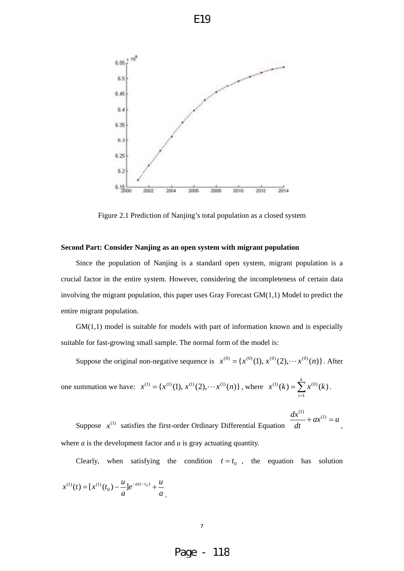

Figure 2.1 Prediction of Nanjing's total population as a closed system

#### **Second Part: Consider Nanjing as an open system with migrant population**

Since the population of Nanjing is a standard open system, migrant population is a crucial factor in the entire system. However, considering the incompleteness of certain data involving the migrant population, this paper uses Gray Forecast  $GM(1,1)$  Model to predict the entire migrant population.

 $GM(1,1)$  model is suitable for models with part of information known and is especially suitable for fast-growing small sample. The normal form of the model is:

Suppose the original non-negative sequence is  $x^{(0)} = {x^{(0)}(1), x^{(0)}(2), \cdots x^{(0)}(n)}$ . After

one summation we have: 
$$
x^{(1)} = \{x^{(1)}(1), x^{(1)}(2), \dots, x^{(1)}(n)\}
$$
, where  $x^{(1)}(k) = \sum_{i=1}^{k} x^{(0)}(k)$ .

Suppose  $x^{(1)}$  satisfies the first-order Ordinary Differential Equation  $ax^{(1)} = u$ *dt*  $\frac{dx^{(1)}}{1} + ax^{(1)} =$ , where *a* is the development factor and *u* is gray actuating quantity.

Clearly, when satisfying the condition  $t = t_0$ , the equation has solution

$$
x^{(1)}(t) = [x^{(1)}(t_0) - \frac{u}{a}]e^{-a(t-t_0)} + \frac{u}{a}.
$$

### Page - 118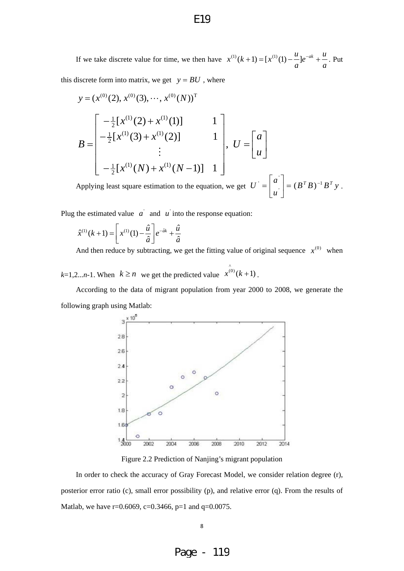If we take discrete value for time, we then have *a*  $e^{-ak} + \frac{u}{a}$ *a*  $x^{(1)}(k+1) = [x^{(1)}(1) - \frac{u}{2}]e^{-ak} + \frac{u}{2}$ . Put this discrete form into matrix, we get  $y = BU$ , where

$$
y = (x^{(0)}(2), x^{(0)}(3), \cdots, x^{(0)}(N))^{T}
$$
  
\n
$$
B = \begin{bmatrix} -\frac{1}{2} [x^{(1)}(2) + x^{(1)}(1)] & 1 \\ -\frac{1}{2} [x^{(1)}(3) + x^{(1)}(2)] & 1 \\ \vdots & \vdots & \vdots \\ -\frac{1}{2} [x^{(1)}(N) + x^{(1)}(N-1)] & 1 \end{bmatrix}, U = \begin{bmatrix} a \\ u \end{bmatrix}
$$

Applying least square estimation to the equation, we get  $U = \begin{bmatrix} u \\ v \end{bmatrix} = (B^T B)^{-1} B^T y$ . *u*  $U = \begin{bmatrix} a' \\ b' \end{bmatrix} = (B^T B)^{-1} B^T$  $\begin{vmatrix} a \\ c \end{vmatrix} = (B^T B)^{-1}$ ⎦  $\begin{vmatrix} a \\ b \end{vmatrix}$ ⎣  $=\vert$ 

Plug the estimated value  $\alpha'$  and  $\alpha'$  into the response equation:

$$
\hat{x}^{(1)}(k+1) = \left[x^{(1)}(1) - \frac{\hat{u}}{\hat{a}}\right]e^{-\hat{a}k} + \frac{\hat{u}}{\hat{a}}
$$

And then reduce by subtracting, we get the fitting value of original sequence  $x^{(0)}$  when

 $k=1,2...n-1$ . When  $k \ge n$  we get the predicted value  $x^{(0)}(k+1)$ .  $\hat{x}^{(0)}(k+$ 

According to the data of migrant population from year 2000 to 2008, we generate the following graph using Matlab:



Figure 2.2 Prediction of Nanjing's migrant population

In order to check the accuracy of Gray Forecast Model, we consider relation degree (r), posterior error ratio (c), small error possibility (p), and relative error (q). From the results of Matlab, we have r=0.6069, c=0.3466, p=1 and q=0.0075.

E19

Page - 119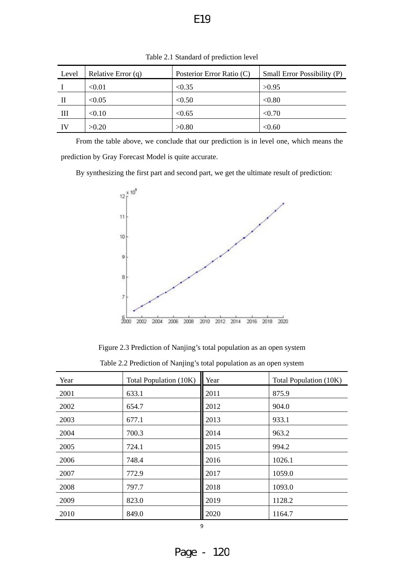| Level | Relative Error $(q)$ | Posterior Error Ratio (C) | Small Error Possibility (P) |
|-------|----------------------|---------------------------|-----------------------------|
|       | < 0.01               | < 0.35                    | >0.95                       |
| Н     | < 0.05               | < 0.50                    | < 0.80                      |
| Ш     | < 0.10               | < 0.65                    | < 0.70                      |
| IV    | >0.20                | >0.80                     | < 0.60                      |

Table 2.1 Standard of prediction level

From the table above, we conclude that our prediction is in level one, which means the prediction by Gray Forecast Model is quite accurate.

By synthesizing the first part and second part, we get the ultimate result of prediction:



Figure 2.3 Prediction of Nanjing's total population as an open system

| Table 2.2 Prediction of Nanjing's total population as an open system |  |  |  |
|----------------------------------------------------------------------|--|--|--|
|----------------------------------------------------------------------|--|--|--|

| Year | Total Population (10K) | Year | Total Population (10K) |
|------|------------------------|------|------------------------|
| 2001 | 633.1                  | 2011 | 875.9                  |
| 2002 | 654.7                  | 2012 | 904.0                  |
| 2003 | 677.1                  | 2013 | 933.1                  |
| 2004 | 700.3                  | 2014 | 963.2                  |
| 2005 | 724.1                  | 2015 | 994.2                  |
| 2006 | 748.4                  | 2016 | 1026.1                 |
| 2007 | 772.9                  | 2017 | 1059.0                 |
| 2008 | 797.7                  | 2018 | 1093.0                 |
| 2009 | 823.0                  | 2019 | 1128.2                 |
| 2010 | 849.0                  | 2020 | 1164.7                 |

Page -  $12C$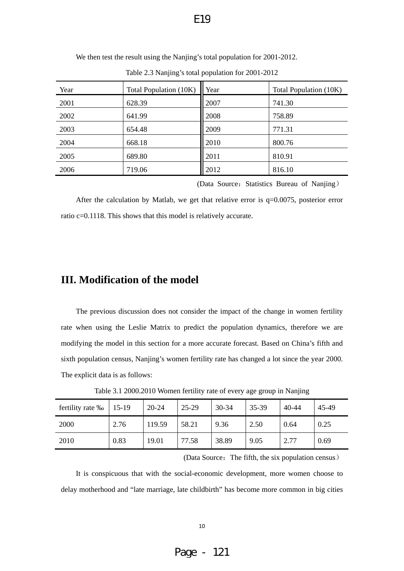| Year | Total Population (10K) | Year | Total Population (10K) |
|------|------------------------|------|------------------------|
| 2001 | 628.39                 | 2007 | 741.30                 |
| 2002 | 641.99                 | 2008 | 758.89                 |
| 2003 | 654.48                 | 2009 | 771.31                 |
| 2004 | 668.18                 | 2010 | 800.76                 |
| 2005 | 689.80                 | 2011 | 810.91                 |
| 2006 | 719.06                 | 2012 | 816.10                 |

<span id="page-9-0"></span>We then test the result using the Nanjing's total population for 2001-2012.

Table 2.3 Nanjing's total population for 2001-2012

(Data Source: Statistics Bureau of Nanjing)

After the calculation by Matlab, we get that relative error is  $q=0.0075$ , posterior error ratio c=0.1118. This shows that this model is relatively accurate.

## **III. Modification of the model**

The previous discussion does not consider the impact of the change in women fertility rate when using the Leslie Matrix to predict the population dynamics, therefore we are modifying the model in this section for a more accurate forecast. Based on China's fifth and sixth population census, Nanjing's women fertility rate has changed a lot since the year 2000. The explicit data is as follows:

| fertility rate ‰ | $15-19$ | 20-24  | $25-29$ | $30 - 34$ | 35-39 | $40 - 44$ | 45-49 |
|------------------|---------|--------|---------|-----------|-------|-----------|-------|
| 2000             | 2.76    | 119.59 | 58.21   | 9.36      | 2.50  | 0.64      | 0.25  |
| 2010             | 0.83    | 19.01  | 77.58   | 38.89     | 9.05  | 2.77      | 0.69  |

Table 3.1 2000.2010 Women fertility rate of every age group in Nanjing

(Data Source: The fifth, the six population census)

It is conspicuous that with the social-economic development, more women choose to delay motherhood and "late marriage, late childbirth" has become more common in big cities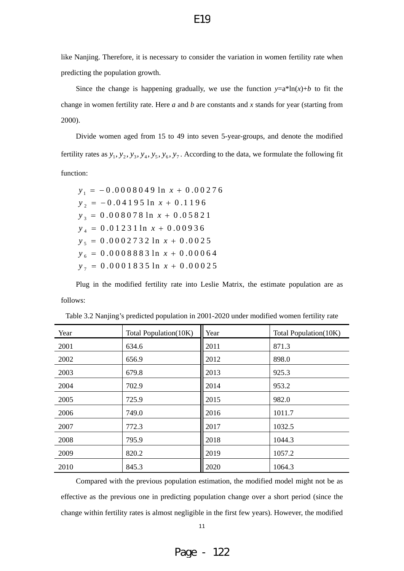like Nanjing. Therefore, it is necessary to consider the variation in women fertility rate when predicting the population growth.

Since the change is happening gradually, we use the function  $y=a^*ln(x)+b$  to fit the change in women fertility rate. Here *a* and *b* are constants and *x* stands for year (starting from 2000).

Divide women aged from 15 to 49 into seven 5-year-groups, and denote the modified fertility rates as  $y_1, y_2, y_3, y_4, y_5, y_6, y_7$ . According to the data, we formulate the following fit function:

 $y_1 = -0.0008049 \ln x + 0.00276$  $y_2 = -0.04195 \ln x + 0.1196$  $y_3 = 0.008078 \ln x + 0.05821$  $y_4 = 0.01231 \ln x + 0.00936$  $y_5 = 0.0002732 \ln x + 0.0025$  $y_6 = 0.0008883 \ln x + 0.00064$  $y_{7} = 0.0001835 \ln x + 0.00025$ 

Plug in the modified fertility rate into Leslie Matrix, the estimate population are as follows:

| Year | Total Population(10K) | Year | Total Population(10K) |
|------|-----------------------|------|-----------------------|
| 2001 | 634.6                 | 2011 | 871.3                 |
| 2002 | 656.9                 | 2012 | 898.0                 |
| 2003 | 679.8                 | 2013 | 925.3                 |
| 2004 | 702.9                 | 2014 | 953.2                 |
| 2005 | 725.9                 | 2015 | 982.0                 |
| 2006 | 749.0                 | 2016 | 1011.7                |
| 2007 | 772.3                 | 2017 | 1032.5                |
| 2008 | 795.9                 | 2018 | 1044.3                |
| 2009 | 820.2                 | 2019 | 1057.2                |
| 2010 | 845.3                 | 2020 | 1064.3                |

Table 3.2 Nanjing's predicted population in 2001-2020 under modified women fertility rate

Compared with the previous population estimation, the modified model might not be as effective as the previous one in predicting population change over a short period (since the change within fertility rates is almost negligible in the first few years). However, the modified

11

E19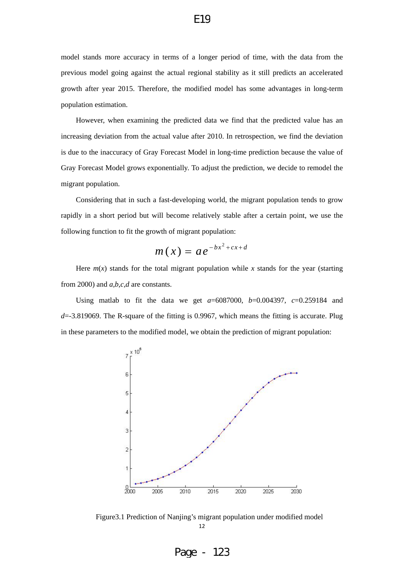model stands more accuracy in terms of a longer period of time, with the data from the previous model going against the actual regional stability as it still predicts an accelerated growth after year 2015. Therefore, the modified model has some advantages in long-term population estimation.

However, when examining the predicted data we find that the predicted value has an increasing deviation from the actual value after 2010. In retrospection, we find the deviation is due to the inaccuracy of Gray Forecast Model in long-time prediction because the value of Gray Forecast Model grows exponentially. To adjust the prediction, we decide to remodel the migrant population.

Considering that in such a fast-developing world, the migrant population tends to grow rapidly in a short period but will become relatively stable after a certain point, we use the following function to fit the growth of migrant population:

$$
m(x) = ae^{-bx^2+cx+d}
$$

Here  $m(x)$  stands for the total migrant population while x stands for the year (starting from 2000) and *a,b,c,d* are constants.

Using matlab to fit the data we get *a*=6087000, *b*=0.004397, *c*=0.259184 and *d*=-3.819069. The R-square of the fitting is 0.9967, which means the fitting is accurate. Plug in these parameters to the modified model, we obtain the prediction of migrant population:



Figure3.1 Prediction of Nanjing's migrant population under modified model 12

Page - 123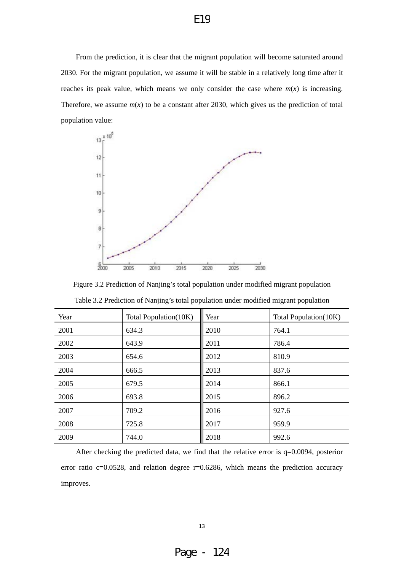From the prediction, it is clear that the migrant population will become saturated around 2030. For the migrant population, we assume it will be stable in a relatively long time after it reaches its peak value, which means we only consider the case where  $m(x)$  is increasing. Therefore, we assume  $m(x)$  to be a constant after 2030, which gives us the prediction of total population value:



Figure 3.2 Prediction of Nanjing's total population under modified migrant population

| Year | Total Population(10K) | Year | Total Population(10K) |
|------|-----------------------|------|-----------------------|
| 2001 | 634.3                 | 2010 | 764.1                 |
| 2002 | 643.9                 | 2011 | 786.4                 |
| 2003 | 654.6                 | 2012 | 810.9                 |
| 2004 | 666.5                 | 2013 | 837.6                 |
| 2005 | 679.5                 | 2014 | 866.1                 |
| 2006 | 693.8                 | 2015 | 896.2                 |
| 2007 | 709.2                 | 2016 | 927.6                 |
| 2008 | 725.8                 | 2017 | 959.9                 |
| 2009 | 744.0                 | 2018 | 992.6                 |

Table 3.2 Prediction of Nanjing's total population under modified migrant population

After checking the predicted data, we find that the relative error is q=0.0094, posterior error ratio  $c=0.0528$ , and relation degree  $r=0.6286$ , which means the prediction accuracy improves.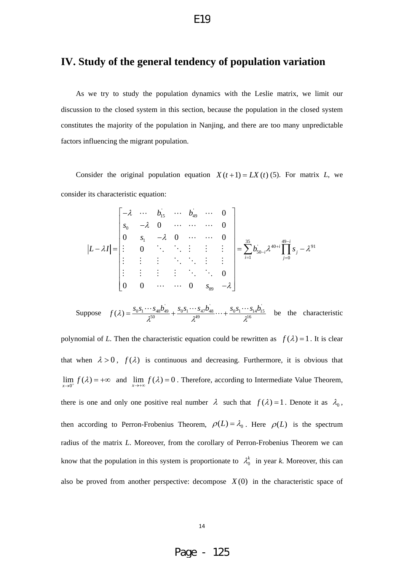### <span id="page-13-0"></span>**IV. Study of the general tendency of population variation**

As we try to study the population dynamics with the Leslie matrix, we limit our discussion to the closed system in this section, because the population in the closed system constitutes the majority of the population in Nanjing, and there are too many unpredictable factors influencing the migrant population.

Consider the original population equation  $X(t+1) = LX(t)(5)$ . For matrix *L*, we consider its characteristic equation:

$$
|L-\lambda I| = \begin{bmatrix} -\lambda & \cdots & b_{15} & \cdots & b_{49} & \cdots & 0 \\ s_0 & -\lambda & 0 & \cdots & \cdots & 0 \\ 0 & s_1 & -\lambda & 0 & \cdots & \cdots & 0 \\ \vdots & 0 & \ddots & \ddots & \vdots & \vdots & \vdots \\ \vdots & \vdots & \vdots & \ddots & \ddots & \vdots & \vdots \\ 0 & 0 & \cdots & \cdots & 0 & s_{89} & -\lambda \end{bmatrix} = \sum_{i=1}^{35} b_{50-i} \lambda^{40+i} \prod_{j=0}^{49-i} s_j - \lambda^{91}
$$

Suppose  $f(\lambda) = \frac{s_0 s_1 \cdots s_{48} b_{49}}{2^{50}} + \frac{s_0 s_1 \cdots s_{47} b_{48}}{2^{49}} \cdots + \frac{s_0 s_1 \cdots s_{14} b_{15}^2}{2^{16}}$ 49  ${}^{\cdot}_{0} s^{}_{1} \cdots s^{}_{47} b^{\cdot}_{48}$ 50  $f(\lambda) = \frac{s_0 s_1 \cdots s_{48} b_{49}}{\lambda^{50}} + \frac{s_0 s_1 \cdots s_{47} b_{48}}{\lambda^{49}} \cdots + \frac{s_0 s_1 \cdots s_{14} b_{15}}{\lambda^{16}}$  be the characteristic

polynomial of *L*. Then the characteristic equation could be rewritten as  $f(\lambda) = 1$ . It is clear that when  $\lambda > 0$ ,  $f(\lambda)$  is continuous and decreasing. Furthermore, it is obvious that  $\lim_{x\to 0^+} f(\lambda) = +\infty$  and  $\lim_{x\to +\infty} f(\lambda) = 0$ . Therefore, according to Intermediate Value Theorem, there is one and only one positive real number  $\lambda$  such that  $f(\lambda) = 1$ . Denote it as  $\lambda_0$ , then according to Perron-Frobenius Theorem,  $\rho(L) = \lambda_0$ . Here  $\rho(L)$  is the spectrum radius of the matrix *L*. Moreover, from the corollary of Perron-Frobenius Theorem we can know that the population in this system is proportionate to  $\lambda_0^k$  in year *k*. Moreover, this can also be proved from another perspective: decompose  $X(0)$  in the characteristic space of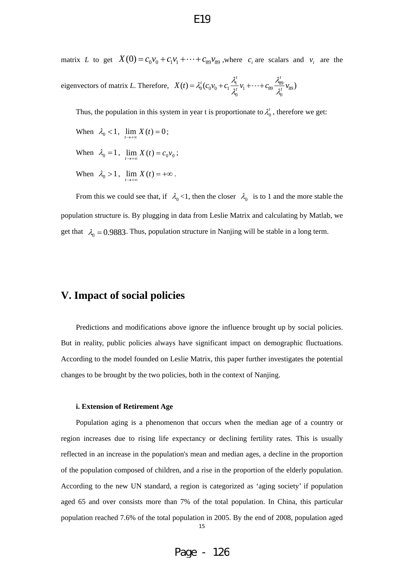<span id="page-14-0"></span>matrix *L* to get  $X(0) = c_0 v_0 + c_1 v_1 + \cdots + c_{89} v_{89}$ , where  $c_i$  are scalars and  $v_i$  are the

eigenvectors of matrix L. Therefore,  $X(t) = \lambda_0^t (c_0 v_0 + c_1 \frac{\lambda_1}{\lambda_1} v_1 + \dots + c_{89} \frac{\lambda_{89}}{\lambda_1} v_{89}$  $\sigma$   $\sim$  $(t) = \lambda_0^t (c_0 v_0 + c_1 \frac{v_1}{\sigma t} v_1 + \dots + c_{89} \frac{v_{89}}{\sigma t} v_{89})$  $X(t) = \lambda_0^t (c_0 v_0 + c_1 \frac{\lambda_1^t}{\lambda_0^t} v_1 + \cdots + c_{89} \frac{\lambda_{89}^t}{\lambda_0^t} v_1$ 

Thus, the population in this system in year t is proportionate to  $\lambda_0^t$ , therefore we get:

- When  $\lambda_0 < 1$ ,  $\lim_{t \to +\infty} X(t) = 0$ ;
- When  $\lambda_0 = 1$ ,  $\lim_{t \to +\infty} X(t) = c_0 v_0$ ;
- When  $\lambda_0 > 1$ ,  $\lim_{t \to +\infty} X(t) = +\infty$ .

get that  $\lambda_0 = 0.9883$ . Thus, population structure in Nanjing will be stable in a long term. From this we could see that, if  $\lambda_0 < 1$ , then the closer  $\lambda_0$  is to 1 and the more stable the population structure is. By plugging in data from Leslie Matrix and calculating by Matlab, we

## **V. Impact of social policies**

Predictions and modifications above ignore the influence brought up by social policies. But in reality, public policies always have significant impact on demographic fluctuations. According to the model founded on Leslie Matrix, this paper further investigates the potential changes to be brought by the two policies, both in the context of Nanjing.

### **i. Extension of Retirement Age**

Population aging is a phenomenon that occurs when the median age of a country or region increases due to rising life expectancy or declining fertility rates. This is usually reflected in an increase in the population's mean and median ages, a decline in the proportion of the population composed of children, and a rise in the proportion of the elderly population. According to the new UN standard, a region is categorized as 'aging society' if population aged 65 and over consists more than 7% of the total population. In China, this particular population reached 7.6% of the total population in 2005. By the end of 2008, population aged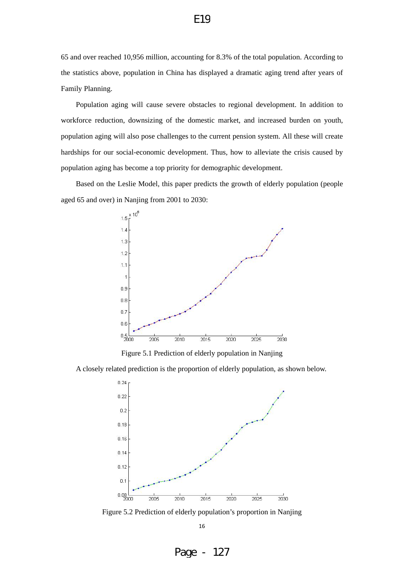## 65 and over reached 10,956 million, accounting for 8.3% of the total population. According to the statistics above, population in China has displayed a dramatic aging trend after years of Family Planning.

Population aging will cause severe obstacles to regional development. In addition to workforce reduction, downsizing of the domestic market, and increased burden on youth, population aging will also pose challenges to the current pension system. All these will create hardships for our social-economic development. Thus, how to alleviate the crisis caused by population aging has become a top priority for demographic development.

Based on the Leslie Model, this paper predicts the growth of elderly population (people aged 65 and over) in Nanjing from 2001 to 2030:



Figure 5.1 Prediction of elderly population in Nanjing

A closely related prediction is the proportion of elderly population, as shown below.



Figure 5.2 Prediction of elderly population's proportion in Nanjing 16

E19

Page - 127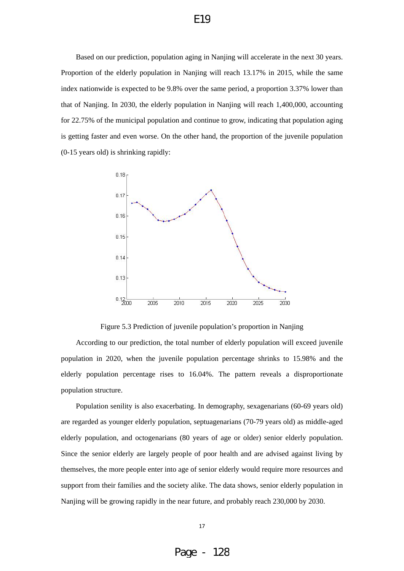## Based on our prediction, population aging in Nanjing will accelerate in the next 30 years. Proportion of the elderly population in Nanjing will reach 13.17% in 2015, while the same index nationwide is expected to be 9.8% over the same period, a proportion 3.37% lower than that of Nanjing. In 2030, the elderly population in Nanjing will reach 1,400,000, accounting for 22.75% of the municipal population and continue to grow, indicating that population aging is getting faster and even worse. On the other hand, the proportion of the juvenile population

(0-15 years old) is shrinking rapidly:



Figure 5.3 Prediction of juvenile population's proportion in Nanjing

According to our prediction, the total number of elderly population will exceed juvenile population in 2020, when the juvenile population percentage shrinks to 15.98% and the elderly population percentage rises to 16.04%. The pattern reveals a disproportionate population structure.

Population senility is also exacerbating. In demography, sexagenarians (60-69 years old) are regarded as younger elderly population, septuagenarians (70-79 years old) as middle-aged elderly population, and octogenarians (80 years of age or older) senior elderly population. Since the senior elderly are largely people of poor health and are advised against living by themselves, the more people enter into age of senior elderly would require more resources and support from their families and the society alike. The data shows, senior elderly population in Nanjing will be growing rapidly in the near future, and probably reach 230,000 by 2030.

## E19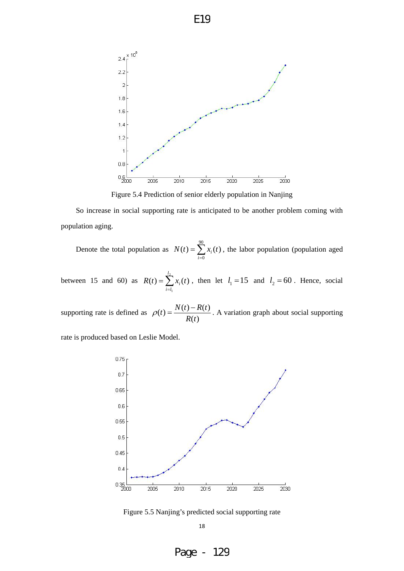

Figure 5.4 Prediction of senior elderly population in Nanjing

So increase in social supporting rate is anticipated to be another problem coming with population aging.

Denote the total population as  $N(t) = \sum_{i=0}^{90} x_i(t)$ , the labor population (population aged  $\mathbf{0}$  $(t)=\sum x_i(t)$ *i*  $N(t) = \sum x_i(t)$ 

between 15 and 60) as  $R(t) = \sum_{i=l_1}^{l_2} x_i(t)$ , then let 1  $(t)=\sum x_i(t)$ *l li*  $R(t) = \sum_i x_i(t)$ , then let  $l_1 = 15$  and  $l_2 = 60$ . Hence, social

supporting rate is defined as  $\rho(t) = \frac{N(t) - R(t)}{R(t)}$ . A variation graph about social supporting

rate is produced based on Leslie Model.



Figure 5.5 Nanjing's predicted social supporting rate

18

Page - 129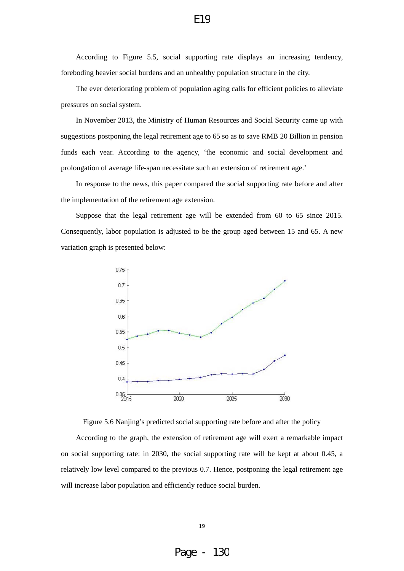According to Figure 5.5, social supporting rate displays an increasing tendency, foreboding heavier social burdens and an unhealthy population structure in the city.

E19

The ever deteriorating problem of population aging calls for efficient policies to alleviate pressures on social system.

In November 2013, the Ministry of Human Resources and Social Security came up with suggestions postponing the legal retirement age to 65 so as to save RMB 20 Billion in pension funds each year. According to the agency, 'the economic and social development and prolongation of average life-span necessitate such an extension of retirement age.'

In response to the news, this paper compared the social supporting rate before and after the implementation of the retirement age extension.

Suppose that the legal retirement age will be extended from 60 to 65 since 2015. Consequently, labor population is adjusted to be the group aged between 15 and 65. A new variation graph is presented below:



Figure 5.6 Nanjing's predicted social supporting rate before and after the policy

According to the graph, the extension of retirement age will exert a remarkable impact on social supporting rate: in 2030, the social supporting rate will be kept at about 0.45, a relatively low level compared to the previous 0.7. Hence, postponing the legal retirement age will increase labor population and efficiently reduce social burden.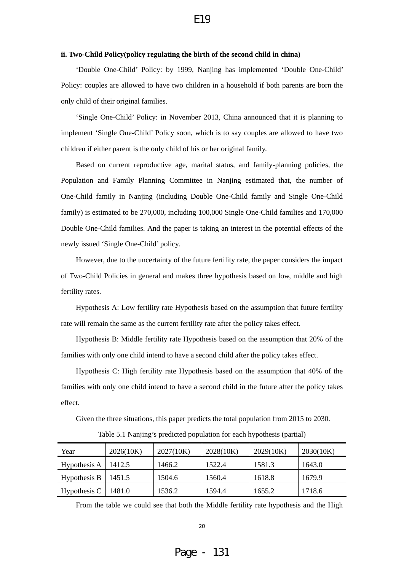#### <span id="page-19-0"></span>**ii. Two-Child Policy(policy regulating the birth of the second child in china)**

'Double One-Child' Policy: by 1999, Nanjing has implemented 'Double One-Child' Policy: couples are allowed to have two children in a household if both parents are born the only child of their original families.

'Single One-Child' Policy: in November 2013, China announced that it is planning to implement 'Single One-Child' Policy soon, which is to say couples are allowed to have two children if either parent is the only child of his or her original family.

Based on current reproductive age, marital status, and family-planning policies, the Population and Family Planning Committee in Nanjing estimated that, the number of One-Child family in Nanjing (including Double One-Child family and Single One-Child family) is estimated to be 270,000, including 100,000 Single One-Child families and 170,000 Double One-Child families. And the paper is taking an interest in the potential effects of the newly issued 'Single One-Child' policy.

However, due to the uncertainty of the future fertility rate, the paper considers the impact of Two-Child Policies in general and makes three hypothesis based on low, middle and high fertility rates.

Hypothesis A: Low fertility rate Hypothesis based on the assumption that future fertility rate will remain the same as the current fertility rate after the policy takes effect.

Hypothesis B: Middle fertility rate Hypothesis based on the assumption that 20% of the families with only one child intend to have a second child after the policy takes effect.

Hypothesis C: High fertility rate Hypothesis based on the assumption that 40% of the families with only one child intend to have a second child in the future after the policy takes effect.

Given the three situations, this paper predicts the total population from 2015 to 2030.

| Year         | 2026(10K) | 2027(10K) | 2028(10K) | 2029(10K) | 2030(10K) |
|--------------|-----------|-----------|-----------|-----------|-----------|
| Hypothesis A | 1412.5    | 1466.2    | 1522.4    | 1581.3    | 1643.0    |
| Hypothesis B | 1451.5    | 1504.6    | 1560.4    | 1618.8    | 1679.9    |
| Hypothesis C | 1481.0    | 1536.2    | 1594.4    | 1655.2    | 1718.6    |

Table 5.1 Nanjing's predicted population for each hypothesis (partial)

From the table we could see that both the Middle fertility rate hypothesis and the High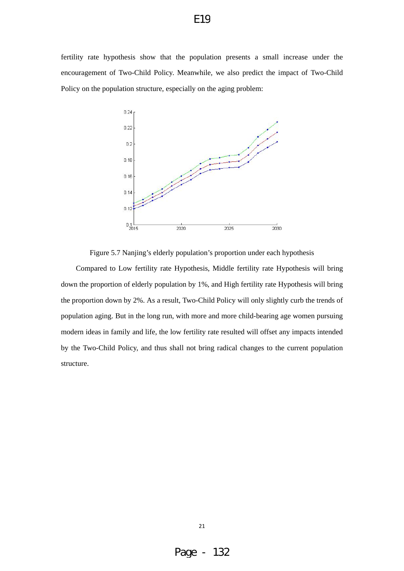fertility rate hypothesis show that the population presents a small increase under the encouragement of Two-Child Policy. Meanwhile, we also predict the impact of Two-Child Policy on the population structure, especially on the aging problem:



Figure 5.7 Nanjing's elderly population's proportion under each hypothesis

Compared to Low fertility rate Hypothesis, Middle fertility rate Hypothesis will bring down the proportion of elderly population by 1%, and High fertility rate Hypothesis will bring the proportion down by 2%. As a result, Two-Child Policy will only slightly curb the trends of population aging. But in the long run, with more and more child-bearing age women pursuing modern ideas in family and life, the low fertility rate resulted will offset any impacts intended by the Two-Child Policy, and thus shall not bring radical changes to the current population structure.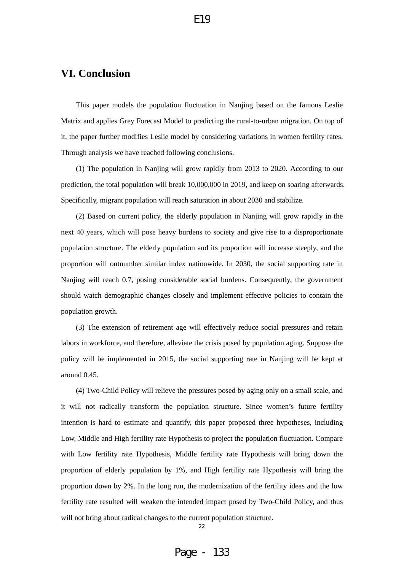## <span id="page-21-0"></span>**VI. Conclusion**

This paper models the population fluctuation in Nanjing based on the famous Leslie Matrix and applies Grey Forecast Model to predicting the rural-to-urban migration. On top of it, the paper further modifies Leslie model by considering variations in women fertility rates. Through analysis we have reached following conclusions.

(1) The population in Nanjing will grow rapidly from 2013 to 2020. According to our prediction, the total population will break 10,000,000 in 2019, and keep on soaring afterwards. Specifically, migrant population will reach saturation in about 2030 and stabilize.

(2) Based on current policy, the elderly population in Nanjing will grow rapidly in the next 40 years, which will pose heavy burdens to society and give rise to a disproportionate population structure. The elderly population and its proportion will increase steeply, and the proportion will outnumber similar index nationwide. In 2030, the social supporting rate in Nanjing will reach 0.7, posing considerable social burdens. Consequently, the government should watch demographic changes closely and implement effective policies to contain the population growth.

(3) The extension of retirement age will effectively reduce social pressures and retain labors in workforce, and therefore, alleviate the crisis posed by population aging. Suppose the policy will be implemented in 2015, the social supporting rate in Nanjing will be kept at around 0.45.

(4) Two-Child Policy will relieve the pressures posed by aging only on a small scale, and it will not radically transform the population structure. Since women's future fertility intention is hard to estimate and quantify, this paper proposed three hypotheses, including Low, Middle and High fertility rate Hypothesis to project the population fluctuation. Compare with Low fertility rate Hypothesis, Middle fertility rate Hypothesis will bring down the proportion of elderly population by 1%, and High fertility rate Hypothesis will bring the proportion down by 2%. In the long run, the modernization of the fertility ideas and the low fertility rate resulted will weaken the intended impact posed by Two-Child Policy, and thus will not bring about radical changes to the current population structure.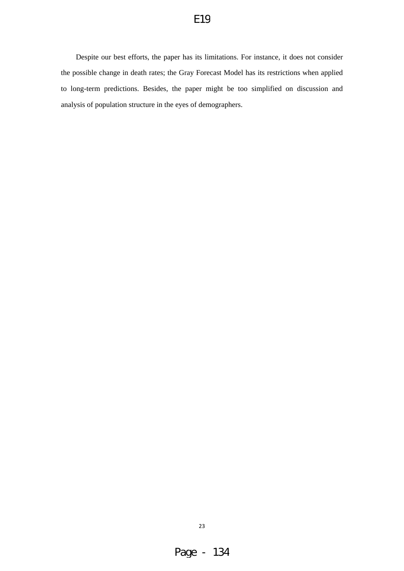Despite our best efforts, the paper has its limitations. For instance, it does not consider the possible change in death rates; the Gray Forecast Model has its restrictions when applied to long-term predictions. Besides, the paper might be too simplified on discussion and analysis of population structure in the eyes of demographers.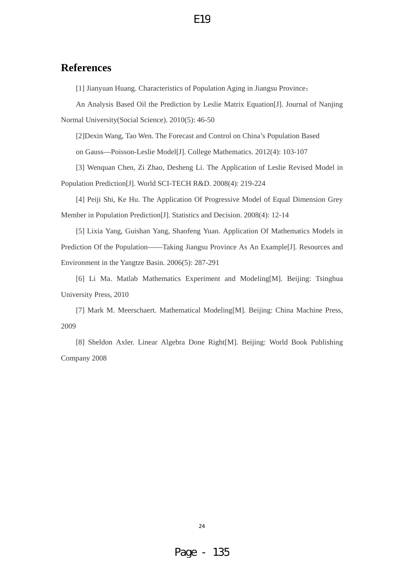## <span id="page-23-0"></span>**References**

[1] Jianyuan Huang. Characteristics of Population Aging in Jiangsu Province:

An Analysis Based Oil the Prediction by Leslie Matrix Equation[J]. Journal of Nanjing Normal University(Social Science). 2010(5): 46-50

[2]Dexin Wang, Tao Wen. The Forecast and Control on China's Population Based

on Gauss—Poisson-Leslie Model[J]. College Mathematics. 2012(4): 103-107

[3] Wenquan Chen, Zi Zhao, Desheng Li. The Application of Leslie Revised Model in Population Prediction[J]. World SCI-TECH R&D. 2008(4): 219-224

[4] Peiji Shi, Ke Hu. The Application Of Progressive Model of Equal Dimension Grey Member in Population Prediction[J]. Statistics and Decision. 2008(4): 12-14

[5] Lixia Yang, Guishan Yang, Shaofeng Yuan. Application Of Mathematics Models in Prediction Of the Population——Taking Jiangsu Province As An Example[J]. Resources and Environment in the Yangtze Basin. 2006(5): 287-291

[6] Li Ma. Matlab Mathematics Experiment and Modeling[M]. Beijing: Tsinghua University Press, 2010

[7] Mark M. Meerschaert. Mathematical Modeling[M]. Beijing: China Machine Press, 2009

[8] Sheldon Axler. Linear Algebra Done Right[M]. Beijing: World Book Publishing Company 2008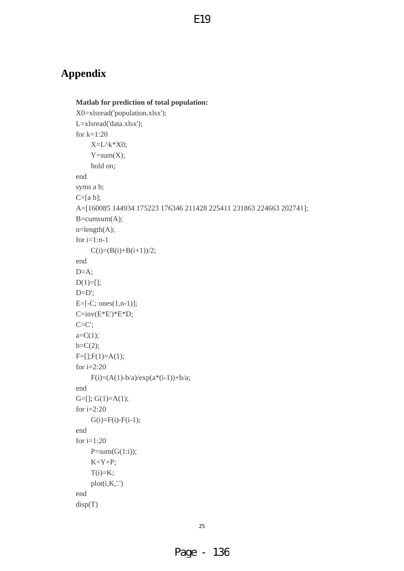## <span id="page-24-0"></span>**Appendix**

```
Matlab for prediction of total population: 
X0=xlsread('population.xlsx'); 
L=xlsread('data.xlsx'); 
for k=1:20 
    X=L^k*X0;Y=sum(X); hold on; 
end 
syms a b; 
C=[a b];A=[160085 144934 175223 176346 211428 225411 231863 224663 202741]; 
B = cumsum(A);n = length(A);for i=1:n-1C(i)=(B(i)+B(i+1))/2;end 
D=A:
D(1)=[;]D=D;
E=[-C; ones(1,n-1)]; 
C=inv(E*E')*E*D; 
C=C;
a=C(1);b=C(2);F=[];F(1)=A(1);for i=2:20 
    F(i)=(A(1)-b/a)/exp(a*(i-1))+b/a;end 
G=[]; G(1)=A(1);for i=2:20G(i)=F(i)-F(i-1);end 
for i=1:20 
    P=sum(G(1:i));K = Y + P;
    T(i)=K; plot(i,K,'.') 
end 
disp(T)
```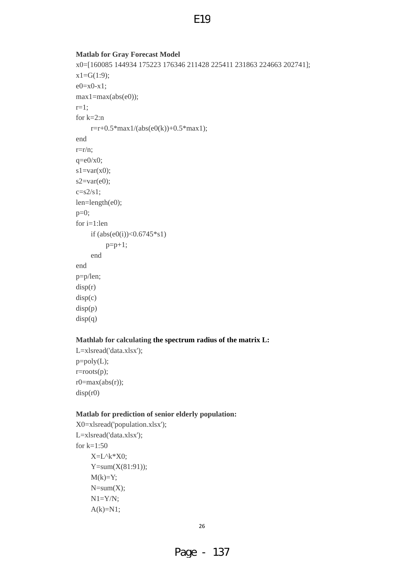### **Matlab for Gray Forecast Model**

```
x0=[160085 144934 175223 176346 211428 225411 231863 224663 202741]; 
x1 = G(1:9);e0 = x0 - x1;
max1 = max(abs(e0));r=1; 
for k=2:n 
    r=r+0.5*max1/(abs(e0(k))+0.5*max1);end 
r=r/n;q=e0/x0;
s1=var(x0);s2=var(e0);c=s2/s1;
len=length(e0); 
p=0;for i=1:len 
    if (abs(e0(i))<0.6745*s1)p=p+1; end 
end 
p=p/len; 
disp(r) 
disp(c) 
disp(p)
```
 $disp(q)$ 

### **Mathlab for calculating the spectrum radius of the matrix L:**

L=xlsread('data.xlsx'); p=poly(L); r=roots(p);  $r0 = max(abs(r));$ disp(r0)

### **Matlab for prediction of senior elderly population:**

```
X0=xlsread('population.xlsx'); 
L=xlsread('data.xlsx'); 
for k=1:50 X=L^k*X0; 
    Y=sum(X(81:91));M(k)=Y;N=sum(X); N1=Y/N; 
    A(k)=N1;
```